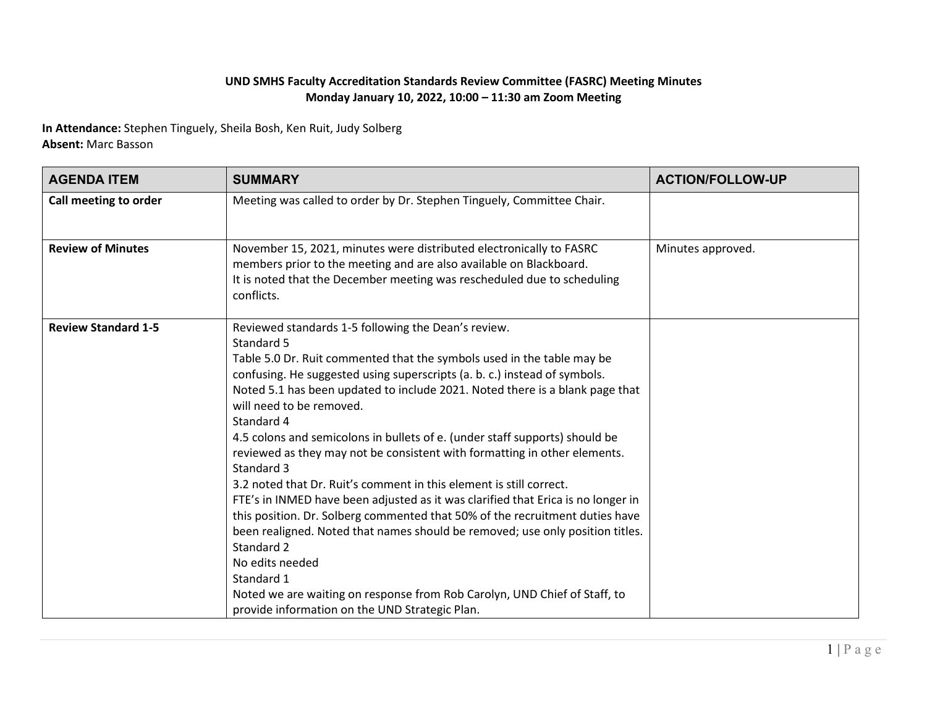## **UND SMHS Faculty Accreditation Standards Review Committee (FASRC) Meeting Minutes Monday January 10, 2022, 10:00 – 11:30 am Zoom Meeting**

**In Attendance:** Stephen Tinguely, Sheila Bosh, Ken Ruit, Judy Solberg **Absent:** Marc Basson

| <b>AGENDA ITEM</b>         | <b>SUMMARY</b>                                                                                                                                                                                                                                                                                                                                                                                                                                                                                                                                                                                                                                                                                                                                                                                                                                                                                                                                                                                                                         | <b>ACTION/FOLLOW-UP</b> |
|----------------------------|----------------------------------------------------------------------------------------------------------------------------------------------------------------------------------------------------------------------------------------------------------------------------------------------------------------------------------------------------------------------------------------------------------------------------------------------------------------------------------------------------------------------------------------------------------------------------------------------------------------------------------------------------------------------------------------------------------------------------------------------------------------------------------------------------------------------------------------------------------------------------------------------------------------------------------------------------------------------------------------------------------------------------------------|-------------------------|
| Call meeting to order      | Meeting was called to order by Dr. Stephen Tinguely, Committee Chair.                                                                                                                                                                                                                                                                                                                                                                                                                                                                                                                                                                                                                                                                                                                                                                                                                                                                                                                                                                  |                         |
| <b>Review of Minutes</b>   | November 15, 2021, minutes were distributed electronically to FASRC<br>members prior to the meeting and are also available on Blackboard.<br>It is noted that the December meeting was rescheduled due to scheduling<br>conflicts.                                                                                                                                                                                                                                                                                                                                                                                                                                                                                                                                                                                                                                                                                                                                                                                                     | Minutes approved.       |
| <b>Review Standard 1-5</b> | Reviewed standards 1-5 following the Dean's review.<br>Standard 5<br>Table 5.0 Dr. Ruit commented that the symbols used in the table may be<br>confusing. He suggested using superscripts (a. b. c.) instead of symbols.<br>Noted 5.1 has been updated to include 2021. Noted there is a blank page that<br>will need to be removed.<br>Standard 4<br>4.5 colons and semicolons in bullets of e. (under staff supports) should be<br>reviewed as they may not be consistent with formatting in other elements.<br>Standard 3<br>3.2 noted that Dr. Ruit's comment in this element is still correct.<br>FTE's in INMED have been adjusted as it was clarified that Erica is no longer in<br>this position. Dr. Solberg commented that 50% of the recruitment duties have<br>been realigned. Noted that names should be removed; use only position titles.<br>Standard 2<br>No edits needed<br>Standard 1<br>Noted we are waiting on response from Rob Carolyn, UND Chief of Staff, to<br>provide information on the UND Strategic Plan. |                         |